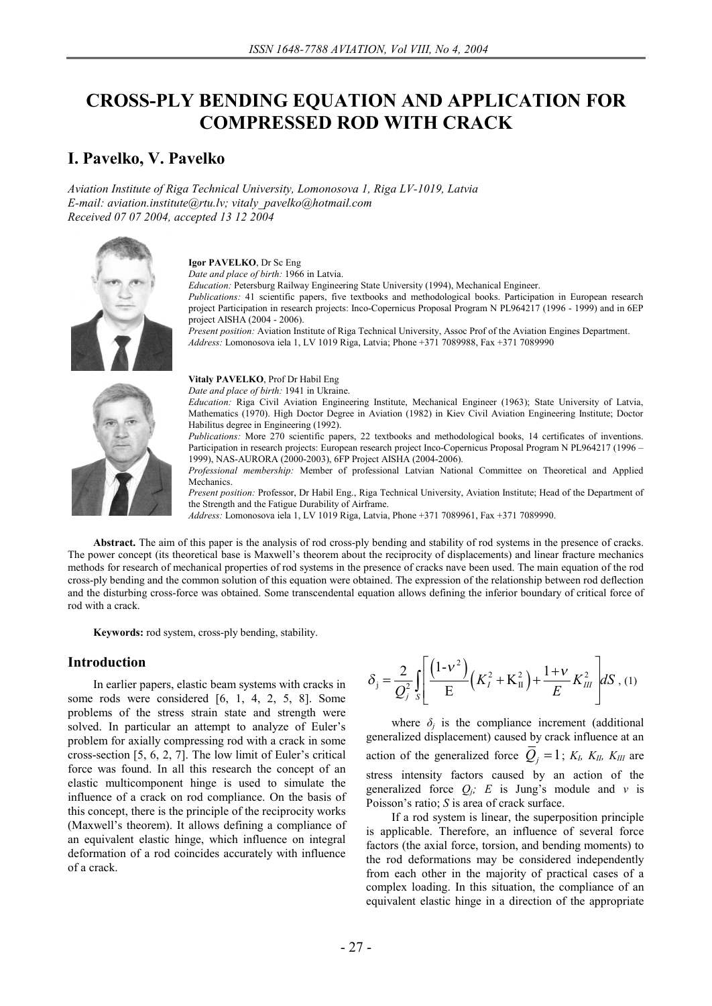# **CROSS-PLY BENDING EQUATION AND APPLICATION FOR COMPRESSED ROD WITH CRACK**

## **I. Pavelko, V. Pavelko**

*Aviation Institute of Riga Technical University, Lomonosova 1, Riga LV-1019, Latvia E-mail: aviation.institute@rtu.lv; vitaly\_pavelko@hotmail.com Received 07 07 2004, accepted 13 12 2004* 



**Igor PAVELKO**, Dr Sc Eng

*Date and place of birth:* 1966 in Latvia. *Education:* Petersburg Railway Engineering State University (1994), Mechanical Engineer.

*Publications:* 41 scientific papers, five textbooks and methodological books. Participation in European research project Participation in research projects: Inco-Copernicus Proposal Program N PL964217 (1996 - 1999) and in 6EP project AISHA (2004 - 2006).

*Present position:* Aviation Institute of Riga Technical University, Assoc Prof of the Aviation Engines Department. *Address:* Lomonosova iela 1, LV 1019 Riga, Latvia; Phone +371 7089988, Fax +371 7089990

**Vitaly PAVELKO**, Prof Dr Habil Eng *Date and place of birth:* 1941 in Ukraine.

*Education:* Riga Civil Aviation Engineering Institute, Mechanical Engineer (1963); State University of Latvia, Mathematics (1970). High Doctor Degree in Aviation (1982) in Kiev Civil Aviation Engineering Institute; Doctor Habilitus degree in Engineering (1992).

*Publications:* More 270 scientific papers, 22 textbooks and methodological books, 14 certificates of inventions. Participation in research projects: European research project Inco-Copernicus Proposal Program N PL964217 (1996 – 1999), NAS-AURORA (2000-2003), 6FP Project AISHA (2004-2006).

*Professional membership:* Member of professional Latvian National Committee on Theoretical and Applied Mechanics.

*Present position:* Professor, Dr Habil Eng., Riga Technical University, Aviation Institute; Head of the Department of the Strength and the Fatigue Durability of Airframe.

*Address:* Lomonosova iela 1, LV 1019 Riga, Latvia, Phone +371 7089961, Fax +371 7089990.

**Abstract.** The aim of this paper is the analysis of rod cross-ply bending and stability of rod systems in the presence of cracks. The power concept (its theoretical base is Maxwell's theorem about the reciprocity of displacements) and linear fracture mechanics methods for research of mechanical properties of rod systems in the presence of cracks nave been used. The main equation of the rod cross-ply bending and the common solution of this equation were obtained. The expression of the relationship between rod deflection and the disturbing cross-force was obtained. Some transcendental equation allows defining the inferior boundary of critical force of rod with a crack.

**Keywords:** rod system, cross-ply bending, stability.

#### **Introduction**

In earlier papers, elastic beam systems with cracks in some rods were considered [6, 1, 4, 2, 5, 8]. Some problems of the stress strain state and strength were solved. In particular an attempt to analyze of Euler's problem for axially compressing rod with a crack in some cross-section [5, 6, 2, 7]. The low limit of Euler's critical force was found. In all this research the concept of an elastic multicomponent hinge is used to simulate the influence of a crack on rod compliance. On the basis of this concept, there is the principle of the reciprocity works (Maxwell's theorem). It allows defining a compliance of an equivalent elastic hinge, which influence on integral deformation of a rod coincides accurately with influence of a crack.

$$
\delta_{\rm j} = \frac{2}{Q_{\rm j}^2} \int_{S} \left[ \frac{(1 - v^2)}{E} \left( K_{\rm j}^2 + K_{\rm II}^2 \right) + \frac{1 + v}{E} K_{\rm III}^2 \right] dS \, , \, (1)
$$

where  $\delta_j$  is the compliance increment (additional generalized displacement) caused by crack influence at an action of the generalized force  $Q_j = 1$ ;  $K_l$ ,  $K_l$ ,  $K_l$  are stress intensity factors caused by an action of the generalized force  $Q_i$ ; *E* is Jung's module and *v* is Poisson's ratio; *S* is area of crack surface.

If a rod system is linear, the superposition principle is applicable. Therefore, an influence of several force factors (the axial force, torsion, and bending moments) to the rod deformations may be considered independently from each other in the majority of practical cases of a complex loading. In this situation, the compliance of an equivalent elastic hinge in a direction of the appropriate

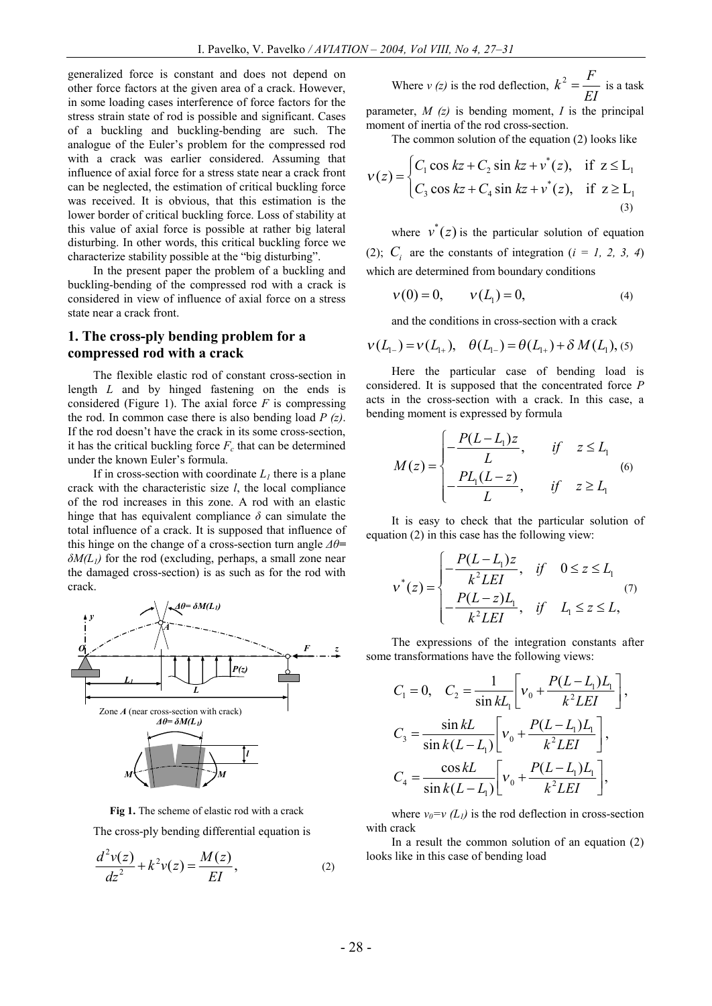generalized force is constant and does not depend on other force factors at the given area of a crack. However, in some loading cases interference of force factors for the stress strain state of rod is possible and significant. Cases of a buckling and buckling-bending are such. The analogue of the Euler's problem for the compressed rod with a crack was earlier considered. Assuming that influence of axial force for a stress state near a crack front can be neglected, the estimation of critical buckling force was received. It is obvious, that this estimation is the lower border of critical buckling force. Loss of stability at this value of axial force is possible at rather big lateral disturbing. In other words, this critical buckling force we characterize stability possible at the "big disturbing".

In the present paper the problem of a buckling and buckling-bending of the compressed rod with a crack is considered in view of influence of axial force on a stress state near a crack front.

### **1. The cross-ply bending problem for a compressed rod with a crack**

The flexible elastic rod of constant cross-section in length *L* and by hinged fastening on the ends is considered (Figure 1). The axial force  $F$  is compressing the rod. In common case there is also bending load *P (z)*. If the rod doesn't have the crack in its some cross-section, it has the critical buckling force  $F_c$  that can be determined under the known Euler's formula.

If in cross-section with coordinate  $L_1$  there is a plane crack with the characteristic size *l*, the local compliance of the rod increases in this zone. A rod with an elastic hinge that has equivalent compliance  $\delta$  can simulate the total influence of a crack. It is supposed that influence of this hinge on the change of a cross-section turn angle *Δθ= δM(L1)* for the rod (excluding, perhaps, a small zone near the damaged cross-section) is as such as for the rod with crack.



**Fig 1.** The scheme of elastic rod with a crack The cross-ply bending differential equation is

$$
\frac{d^2v(z)}{dz^2} + k^2v(z) = \frac{M(z)}{EI},
$$
 (2)

Where *v* (*z*) is the rod deflection, 
$$
k^2 = \frac{F}{EI}
$$
 is a task  
parameter, *M* (*z*) is bending moment, *I* is the principal

moment of inertia of the rod cross-section.

The common solution of the equation (2) looks like

$$
v(z) = \begin{cases} C_1 \cos kz + C_2 \sin kz + v^*(z), & \text{if } z \le L_1 \\ C_3 \cos kz + C_4 \sin kz + v^*(z), & \text{if } z \ge L_1 \\ 0, & \text{if } z \ge L_2 \end{cases}
$$

where  $v^*(z)$  is the particular solution of equation (2);  $C_i$  are the constants of integration ( $i = 1, 2, 3, 4$ ) which are determined from boundary conditions

$$
v(0) = 0, \t v(L_1) = 0,
$$
\t(4)

and the conditions in cross-section with a crack

$$
v(L_{1-}) = v(L_{1+}), \quad \theta(L_{1-}) = \theta(L_{1+}) + \delta M(L_1),
$$
 (5)

Here the particular case of bending load is considered. It is supposed that the concentrated force *P* acts in the cross-section with a crack. In this case, a bending moment is expressed by formula

$$
M(z) = \begin{cases} -\frac{P(L-L_1)z}{L}, & \text{if } z \le L_1\\ -\frac{PL_1(L-z)}{L}, & \text{if } z \ge L_1 \end{cases} \tag{6}
$$

It is easy to check that the particular solution of equation (2) in this case has the following view:

$$
v^*(z) = \begin{cases} -\frac{P(L - L_1)z}{k^2LEI}, & \text{if } 0 \le z \le L_1 \\ -\frac{P(L - z)L_1}{k^2LEI}, & \text{if } L_1 \le z \le L, \end{cases}
$$
(7)

The expressions of the integration constants after some transformations have the following views:

$$
C_1 = 0, \quad C_2 = \frac{1}{\sin kL_1} \left[ v_0 + \frac{P(L - L_1)L_1}{k^2 L E I} \right],
$$
  
\n
$$
C_3 = \frac{\sin kL}{\sin k(L - L_1)} \left[ v_0 + \frac{P(L - L_1)L_1}{k^2 L E I} \right],
$$
  
\n
$$
C_4 = \frac{\cos kL}{\sin k(L - L_1)} \left[ v_0 + \frac{P(L - L_1)L_1}{k^2 L E I} \right],
$$

where  $v_0 = v(L_1)$  is the rod deflection in cross-section with crack

In a result the common solution of an equation (2) looks like in this case of bending load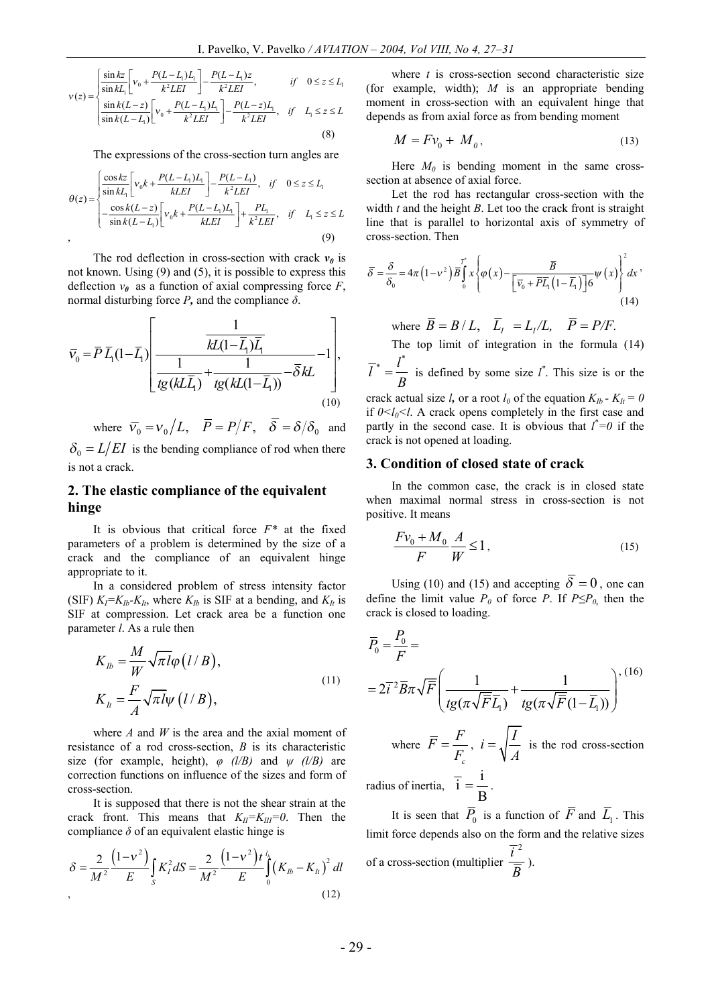$$
v(z) = \begin{cases} \frac{\sin kz}{\sin kL_1} \left[ v_0 + \frac{P(L - L_1)L_1}{k^2 L E I} \right] - \frac{P(L - L_1)z}{k^2 L E I}, & \text{if } 0 \le z \le L_1\\ \frac{\sin k(L - z)}{\sin k(L - L_1)} \left[ v_0 + \frac{P(L - L_1)L_1}{k^2 L E I} \right] - \frac{P(L - z)L_1}{k^2 L E I}, & \text{if } L_1 \le z \le L \end{cases}
$$
(8)

The expressions of the cross-section turn angles are

$$
\theta(z) = \begin{cases}\n\frac{\cos kz}{\sin kt_1} \left[ v_0 k + \frac{P(L - L_1)L_1}{kLEI} \right] - \frac{P(L - L_1)}{k^2 LEI}, & \text{if } 0 \le z \le L_1 \\
-\frac{\cos k(L - z)}{\sin k(L - L_1)} \left[ v_0 k + \frac{P(L - L_1)L_1}{kLEI} \right] + \frac{PL_1}{k^2 LEI}, & \text{if } L_1 \le z \le L\n\end{cases} \tag{9}
$$

The rod deflection in cross-section with crack  $v_0$  is not known. Using (9) and (5), it is possible to express this deflection  $v_{\theta}$  as a function of axial compressing force *F*, normal disturbing force *P,* and the compliance *δ*.

$$
\overline{v}_0 = \overline{P} \overline{L}_1 (1 - \overline{L}_1) \left[ \frac{\frac{1}{kL(1 - \overline{L}_1)\overline{L}_1}}{\frac{1}{tg(kL\overline{L}_1)} + \frac{1}{tg(kL(1 - \overline{L}_1))} - \overline{\delta} kL} - 1 \right],
$$
\n(10)

where  $\overline{v}_0 = v_0 / L$ ,  $\overline{P} = P / F$ ,  $\overline{\delta} = \delta / \delta_0$  and  $\delta_0 = L/EI$  is the bending compliance of rod when there is not a crack.

## **2. The elastic compliance of the equivalent hinge**

It is obvious that critical force *F\** at the fixed parameters of a problem is determined by the size of a crack and the compliance of an equivalent hinge appropriate to it.

In a considered problem of stress intensity factor (SIF)  $K_I = K_{Ib} - K_{It}$ , where  $K_{Ib}$  is SIF at a bending, and  $K_{It}$  is SIF at compression. Let crack area be a function one parameter *l*. As a rule then

$$
K_{lb} = \frac{M}{W} \sqrt{\pi l} \varphi (l/B),
$$
  
\n
$$
K_{lt} = \frac{F}{A} \sqrt{\pi l} \psi (l/B),
$$
\n(11)

where *A* and *W* is the area and the axial moment of resistance of a rod cross-section, *B* is its characteristic size (for example, height),  $\varphi$  *(l/B)* and  $\psi$  *(l/B)* are correction functions on influence of the sizes and form of cross-section.

It is supposed that there is not the shear strain at the crack front. This means that  $K_{II} = K_{III} = 0$ . Then the compliance  $\delta$  of an equivalent elastic hinge is

$$
\delta = \frac{2}{M^2} \frac{\left(1 - v^2\right)}{E} \int_S K_I^2 dS = \frac{2}{M^2} \frac{\left(1 - v^2\right) t^{\frac{1}{h}}}{E} \int_0^k \left(K_{Ib} - K_{It}\right)^2 dl
$$
\n(12)

where *t* is cross-section second characteristic size (for example, width); *M* is an appropriate bending moment in cross-section with an equivalent hinge that depends as from axial force as from bending moment

$$
M = Fv_0 + M_o, \tag{13}
$$

Here  $M_0$  is bending moment in the same crosssection at absence of axial force.

Let the rod has rectangular cross-section with the width *t* and the height *B*. Let too the crack front is straight line that is parallel to horizontal axis of symmetry of cross-section. Then

$$
\overline{\delta} = \frac{\delta}{\delta_0} = 4\pi \left( 1 - v^2 \right) \overline{B} \int_0^T x \left\{ \varphi(x) - \frac{\overline{B}}{\left[ \overline{v}_0 + \overline{P} \overline{L}_1 \left( 1 - \overline{L}_1 \right) \right] 6} \psi(x) \right\}^2 dx
$$
\n(14)

where  $\overline{B} = B/L$ ,  $\overline{L}_1 = L_1/L$ ,  $\overline{P} = P/F$ . The top limit of integration in the formula (14)  $\overline{l}^* = \frac{l^*}{l^*}$ *B*  $=\frac{1}{b}$  is defined by some size *l*<sup>\*</sup>. This size is or the crack actual size *l*, or a root  $l_0$  of the equation  $K_{Ib}$  -  $K_{It}$  = 0 if  $0 \le l_0 \le l$ . A crack opens completely in the first case and partly in the second case. It is obvious that  $l^*=0$  if the crack is not opened at loading.

#### **3. Condition of closed state of crack**

In the common case, the crack is in closed state when maximal normal stress in cross-section is not positive. It means

$$
\frac{Fv_0 + M_0}{F} \frac{A}{W} \le 1,
$$
\n(15)

Using (10) and (15) and accepting  $\overline{\delta} = 0$ , one can define the limit value  $P_0$  of force  $P$ . If  $P \le P_0$ , then the crack is closed to loading.

$$
\overline{P}_0 = \frac{P_0}{F} =
$$
\n
$$
= 2\overline{i}^2 \overline{B} \pi \sqrt{\overline{F}} \left( \frac{1}{tg(\pi \sqrt{\overline{F}} \overline{L}_1)} + \frac{1}{tg(\pi \sqrt{\overline{F}} (1 - \overline{L}_1))} \right)^{1/16}
$$
\nwhere  $\overline{F} = \frac{F}{F_c}$ ,  $i = \sqrt{\frac{I}{A}}$  is the rod cross-section  
\nradius of inertia,  $\overline{i} = \frac{i}{B}$ .

It is seen that  $P_0$  is a function of  $\overline{F}$  and  $L_1$ . This limit force depends also on the form and the relative sizes of a cross-section (multiplier  $\overline{i}^2$  $\frac{\overline{B}}{B}$ ).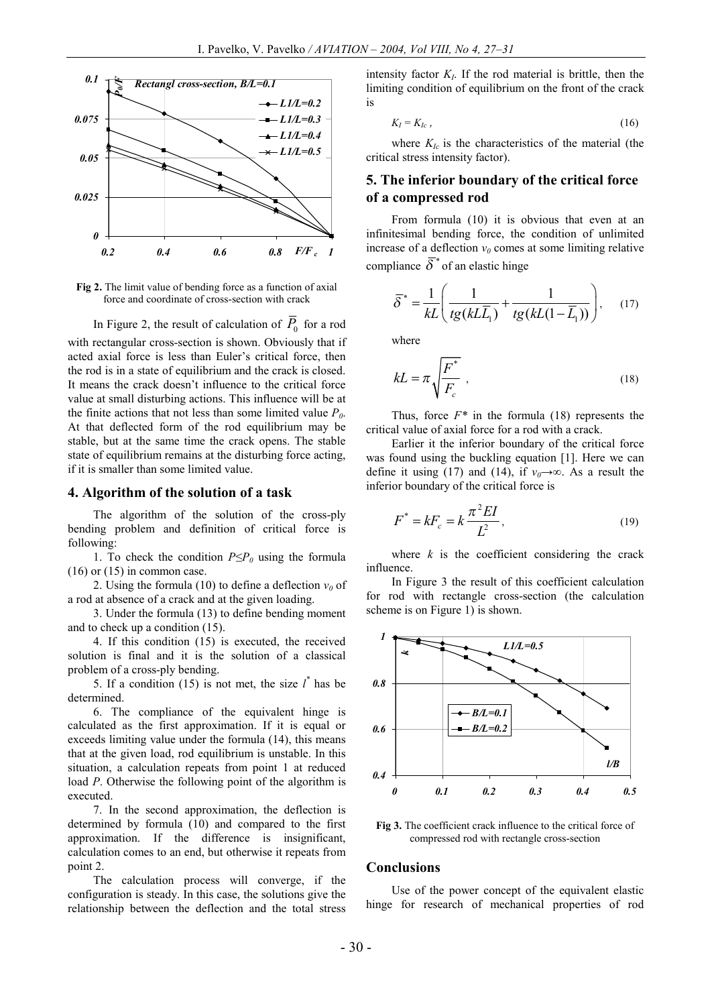

**Fig 2.** The limit value of bending force as a function of axial force and coordinate of cross-section with crack

In Figure 2, the result of calculation of  $P_0$  for a rod

with rectangular cross-section is shown. Obviously that if acted axial force is less than Euler's critical force, then the rod is in a state of equilibrium and the crack is closed. It means the crack doesn't influence to the critical force value at small disturbing actions. This influence will be at the finite actions that not less than some limited value  $P_0$ . At that deflected form of the rod equilibrium may be stable, but at the same time the crack opens. The stable state of equilibrium remains at the disturbing force acting, if it is smaller than some limited value.

#### **4. Algorithm of the solution of a task**

The algorithm of the solution of the cross-ply bending problem and definition of critical force is following:

1. To check the condition *P≤P<sup>0</sup>* using the formula  $(16)$  or  $(15)$  in common case.

2. Using the formula (10) to define a deflection  $v_0$  of a rod at absence of a crack and at the given loading.

3. Under the formula (13) to define bending moment and to check up a condition (15).

4. If this condition (15) is executed, the received solution is final and it is the solution of a classical problem of a cross-ply bending.

5. If a condition (15) is not met, the size  $l^*$  has be determined.

6. The compliance of the equivalent hinge is calculated as the first approximation. If it is equal or exceeds limiting value under the formula (14), this means that at the given load, rod equilibrium is unstable. In this situation, a calculation repeats from point 1 at reduced load *P*. Otherwise the following point of the algorithm is executed.

7. In the second approximation, the deflection is determined by formula (10) and compared to the first approximation. If the difference is insignificant, calculation comes to an end, but otherwise it repeats from point 2.

The calculation process will converge, if the configuration is steady. In this case, the solutions give the relationship between the deflection and the total stress

intensity factor  $K_I$ . If the rod material is brittle, then the limiting condition of equilibrium on the front of the crack is

$$
K_I = K_{Ic} \t{16}
$$

where  $K_{Ic}$  is the characteristics of the material (the critical stress intensity factor).

## **5. The inferior boundary of the critical force of a compressed rod**

From formula (10) it is obvious that even at an infinitesimal bending force, the condition of unlimited increase of a deflection  $v_0$  comes at some limiting relative compliance  $\overline{\delta}^*$  of an elastic hinge

$$
\overline{\delta}^* = \frac{1}{kL} \left( \frac{1}{tg(kL\overline{L}_1)} + \frac{1}{tg(kL(1-\overline{L}_1))} \right), \quad (17)
$$

where

$$
kL = \pi \sqrt{\frac{F^*}{F_c}} \tag{18}
$$

Thus, force  $F^*$  in the formula (18) represents the critical value of axial force for a rod with a crack.

Earlier it the inferior boundary of the critical force was found using the buckling equation [1]. Here we can define it using (17) and (14), if  $v_0 \rightarrow \infty$ . As a result the inferior boundary of the critical force is

$$
F^* = kF_c = k\frac{\pi^2 EI}{L^2},
$$
\n(19)

where  $k$  is the coefficient considering the crack influence.

In Figure 3 the result of this coefficient calculation for rod with rectangle cross-section (the calculation scheme is on Figure 1) is shown.



**Fig 3.** The coefficient crack influence to the critical force of compressed rod with rectangle cross-section

#### **Conclusions**

Use of the power concept of the equivalent elastic hinge for research of mechanical properties of rod